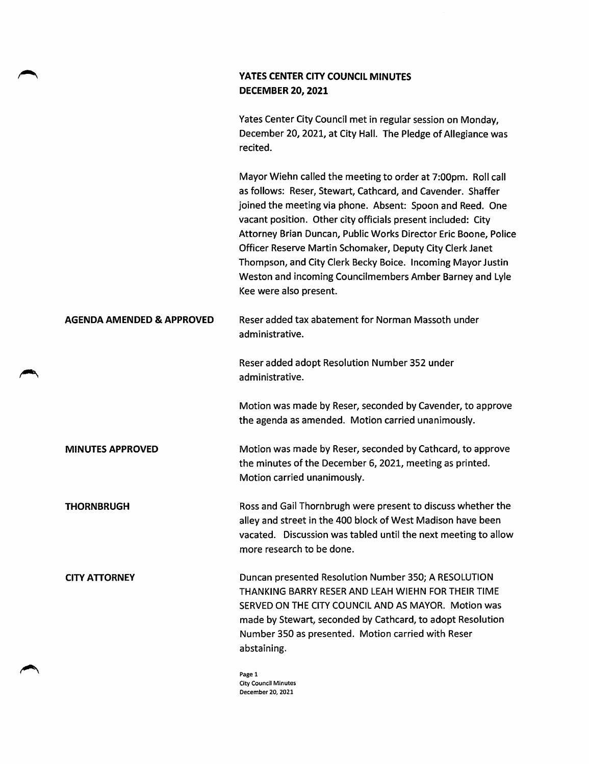## YATES CENTER CITY COUNCIL MINUTES DECEMBER 20,2021

Yates Center City Council met in regular session on Monday, December 20, 2021, at City Hall. The Pledge of Allegiance was recited.

Mayor Wiehn called the meeting to order at 7:00pm. Roll call as follows: Reser, Stewart, Cathcard, and Cavender. Shaffer joined the meeting via phone. Absent: Spoon and Reed. One vacant position. Other city officials present included: City Attorney Brian Duncan, Public Works Director Eric Boone, Police Officer Reserve Martin Schomaker, Deputy City Clerk Janet Thompson, and City Clerk Becky Boice. Incoming Mayor Justin Weston and incoming Councilmembers Amber Barney and Lyie Kee were also present.

### AGENDA AMENDED & APPROVED Reser added tax abatement for Norman Massoth under administrative.

Reser added adopt Resolution Number 352 under administrative.

Motion was made by Reser, seconded by Cavender, to approve the agenda as amended. Motion carried unanimously.

MINUTES APPROVED Motion was made by Reser, seconded by Cathcard, to approve the minutes of the December 6, 2021, meeting as printed. Motion carried unanimously.

THORNBRUGH Ross and Gail Thornbrugh were present to discuss whether the alley and street in the 400 block of West Madison have been vacated. Discussion was tabled until the next meeting to allow more research to be done.

CITY ATTORNEY Duncan presented Resolution Number 350; A RESOLUTION THANKING BARRY RESER AND LEAH WIEHN FOR THEIR TIME SERVED ON THE CITY COUNCIL AND AS MAYOR. Motion was made by Stewart, seconded by Cathcard, to adopt Resolution Number 350 as presented. Motion carried with Reser abstaining.

> Page 1 City Council Minutes December 20, 2021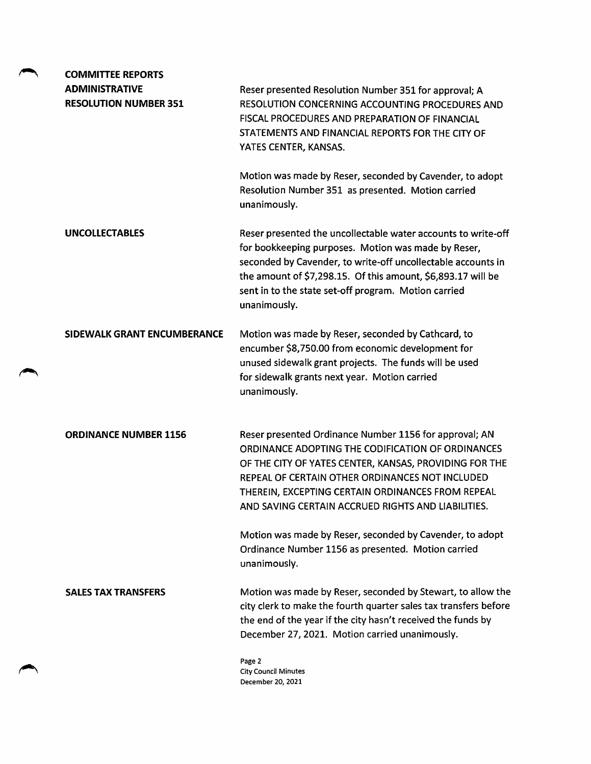| <b>COMMITTEE REPORTS</b>                              |                                                                                                                                                                                                                                                                                                                                     |
|-------------------------------------------------------|-------------------------------------------------------------------------------------------------------------------------------------------------------------------------------------------------------------------------------------------------------------------------------------------------------------------------------------|
| <b>ADMINISTRATIVE</b><br><b>RESOLUTION NUMBER 351</b> | Reser presented Resolution Number 351 for approval; A<br>RESOLUTION CONCERNING ACCOUNTING PROCEDURES AND<br>FISCAL PROCEDURES AND PREPARATION OF FINANCIAL<br>STATEMENTS AND FINANCIAL REPORTS FOR THE CITY OF<br>YATES CENTER, KANSAS.                                                                                             |
|                                                       | Motion was made by Reser, seconded by Cavender, to adopt<br>Resolution Number 351 as presented. Motion carried<br>unanimously.                                                                                                                                                                                                      |
| <b>UNCOLLECTABLES</b>                                 | Reser presented the uncollectable water accounts to write-off<br>for bookkeeping purposes. Motion was made by Reser,<br>seconded by Cavender, to write-off uncollectable accounts in<br>the amount of \$7,298.15. Of this amount, \$6,893.17 will be<br>sent in to the state set-off program. Motion carried<br>unanimously.        |
| <b>SIDEWALK GRANT ENCUMBERANCE</b>                    | Motion was made by Reser, seconded by Cathcard, to<br>encumber \$8,750.00 from economic development for<br>unused sidewalk grant projects. The funds will be used<br>for sidewalk grants next year. Motion carried<br>unanimously.                                                                                                  |
| <b>ORDINANCE NUMBER 1156</b>                          | Reser presented Ordinance Number 1156 for approval; AN<br>ORDINANCE ADOPTING THE CODIFICATION OF ORDINANCES<br>OF THE CITY OF YATES CENTER, KANSAS, PROVIDING FOR THE<br>REPEAL OF CERTAIN OTHER ORDINANCES NOT INCLUDED<br>THEREIN, EXCEPTING CERTAIN ORDINANCES FROM REPEAL<br>AND SAVING CERTAIN ACCRUED RIGHTS AND LIABILITIES. |
|                                                       | Motion was made by Reser, seconded by Cavender, to adopt<br>Ordinance Number 1156 as presented. Motion carried<br>unanimously.                                                                                                                                                                                                      |
| <b>SALES TAX TRANSFERS</b>                            | Motion was made by Reser, seconded by Stewart, to allow the<br>city clerk to make the fourth quarter sales tax transfers before<br>the end of the year if the city hasn't received the funds by<br>December 27, 2021. Motion carried unanimously.                                                                                   |
|                                                       | Page 2<br><b>City Council Minutes</b><br>December 20, 2021                                                                                                                                                                                                                                                                          |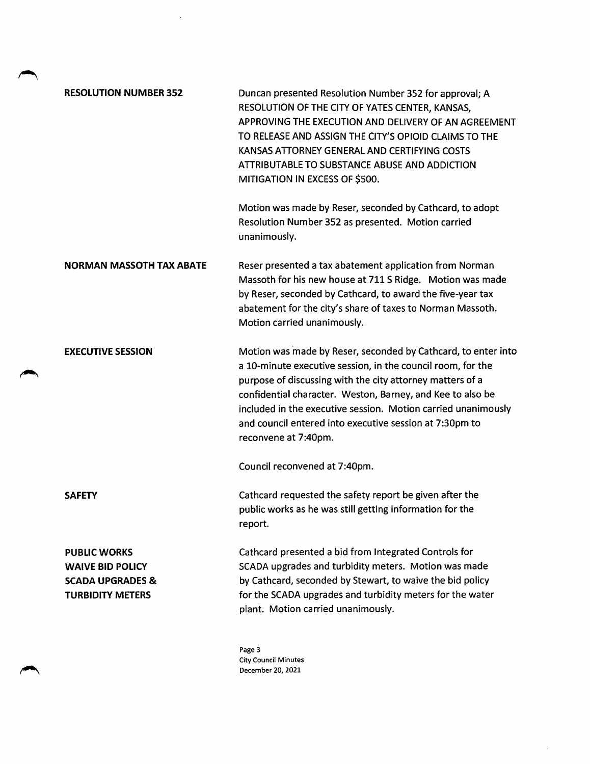| <b>RESOLUTION NUMBER 352</b>                                                                             | Duncan presented Resolution Number 352 for approval; A<br>RESOLUTION OF THE CITY OF YATES CENTER, KANSAS,<br>APPROVING THE EXECUTION AND DELIVERY OF AN AGREEMENT<br>TO RELEASE AND ASSIGN THE CITY'S OPIOID CLAIMS TO THE<br>KANSAS ATTORNEY GENERAL AND CERTIFYING COSTS<br>ATTRIBUTABLE TO SUBSTANCE ABUSE AND ADDICTION<br>MITIGATION IN EXCESS OF \$500.                                               |
|----------------------------------------------------------------------------------------------------------|-------------------------------------------------------------------------------------------------------------------------------------------------------------------------------------------------------------------------------------------------------------------------------------------------------------------------------------------------------------------------------------------------------------|
|                                                                                                          | Motion was made by Reser, seconded by Cathcard, to adopt<br>Resolution Number 352 as presented. Motion carried<br>unanimously.                                                                                                                                                                                                                                                                              |
| <b>NORMAN MASSOTH TAX ABATE</b>                                                                          | Reser presented a tax abatement application from Norman<br>Massoth for his new house at 711 S Ridge. Motion was made<br>by Reser, seconded by Cathcard, to award the five-year tax<br>abatement for the city's share of taxes to Norman Massoth.<br>Motion carried unanimously.                                                                                                                             |
| <b>EXECUTIVE SESSION</b>                                                                                 | Motion was made by Reser, seconded by Cathcard, to enter into<br>a 10-minute executive session, in the council room, for the<br>purpose of discussing with the city attorney matters of a<br>confidential character. Weston, Barney, and Kee to also be<br>included in the executive session. Motion carried unanimously<br>and council entered into executive session at 7:30pm to<br>reconvene at 7:40pm. |
|                                                                                                          | Council reconvened at 7:40pm.                                                                                                                                                                                                                                                                                                                                                                               |
| <b>SAFETY</b>                                                                                            | Cathcard requested the safety report be given after the<br>public works as he was still getting information for the<br>report.                                                                                                                                                                                                                                                                              |
| <b>PUBLIC WORKS</b><br><b>WAIVE BID POLICY</b><br><b>SCADA UPGRADES &amp;</b><br><b>TURBIDITY METERS</b> | Cathcard presented a bid from Integrated Controls for<br>SCADA upgrades and turbidity meters. Motion was made<br>by Cathcard, seconded by Stewart, to waive the bid policy<br>for the SCADA upgrades and turbidity meters for the water<br>plant. Motion carried unanimously.                                                                                                                               |
|                                                                                                          | Page 3                                                                                                                                                                                                                                                                                                                                                                                                      |

 $\mathcal{L}^{\text{max}}$ 

Page 3 City Council Minutes December 20, 2021

 $\hat{\mathcal{A}}$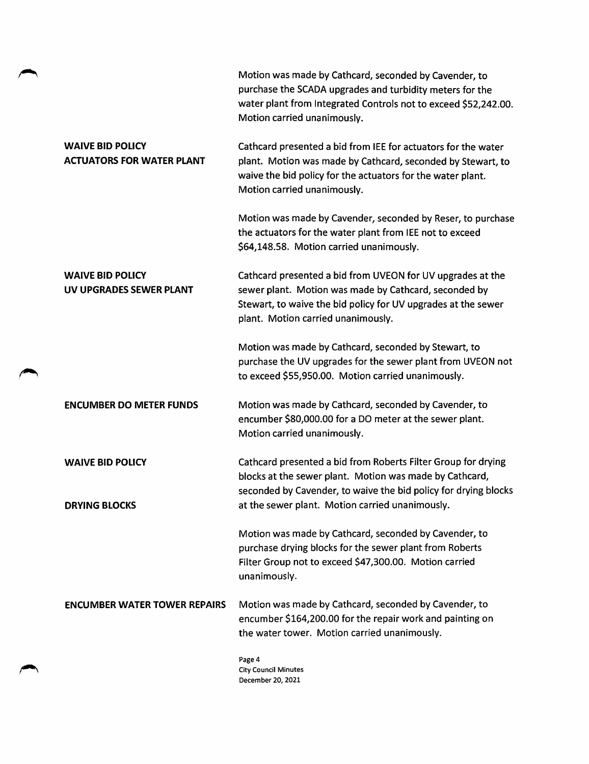Motion was made by Cathcard, seconded by Cavender, to purchase the SCADA upgrades and turbidity meters for the water plant from Integrated Controls not to exceed \$52,242.00. Motion carried unanimously.

# WAIVE BID POLICY ACTUATORS FOR WATER PLANT

Cathcard presented a bid from lEE for actuators for the water plant. Motion was made by Cathcard, seconded by Stewart, to waive the bid policy for the actuators for the water plant. Motion carried unanimously.

Motion was made by Cavender, seconded by Reser, to purchase the actuators for the water plant from IEE not to exceed \$64,148.58. Motion carried unanimously.

WAIVE BID POLICY UV UPGRADES SEWER PLANT Cathcard presented a bid from UVEON for UV upgrades at the sewer plant. Motion was made by Cathcard, seconded by Stewart, to waive the bid policy for UV upgrades at the sewer plant. Motion carried unanimously.

> Motion was made by Cathcard, seconded by Stewart, to purchase the UV upgrades for the sewer plant from UVEON not to exceed \$55,950.00. Motion carried unanimously.

**ENCUMBER DO METER FUNDS** Motion was made by Cathcard, seconded by Cavender, to encumber \$80,000.00 for a DO meter at the sewer plant. Motion carried unanimously.

WAIVE BID POLICY DRYING BLOCKS Cathcard presented a bid from Roberts Filter Group for drying blocks at the sewer plant. Motion was made by Cathcard, seconded by Cavender, to waive the bid policy for drying blocks at the sewer plant. Motion carried unanimously.

> Motion was made by Cathcard, seconded by Cavender, to purchase drying blocks for the sewer plant from Roberts Filter Group not to exceed \$47,300.00. Motion carried unanimously.

ENCUMBER WATER TOWER REPAIRS Motion was made by Cathcard, seconded by Cavender, to encumber \$164,200.00 for the repair work and painting on the water tower. Motion carried unanimously.

> Page 4 City Council Minutes December 20, 2021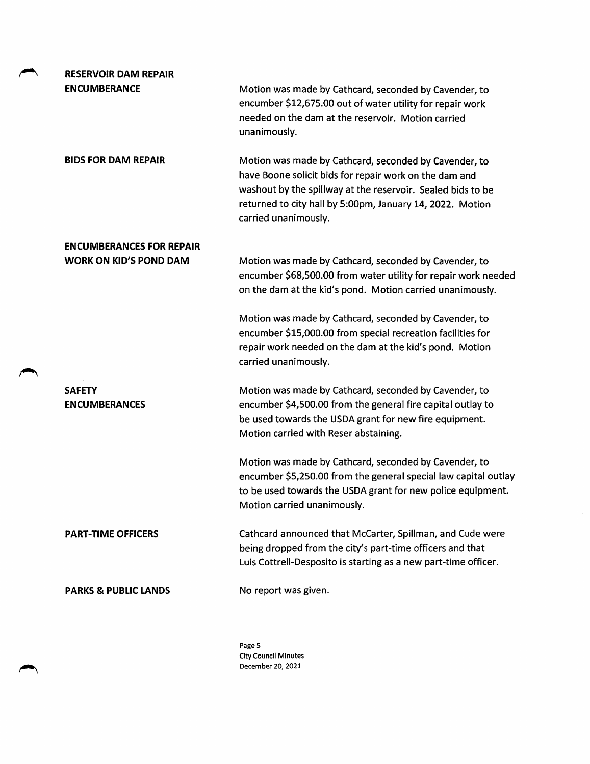| <b>RESERVOIR DAM REPAIR</b>           |                                                                                                                                                                                                                                                                     |
|---------------------------------------|---------------------------------------------------------------------------------------------------------------------------------------------------------------------------------------------------------------------------------------------------------------------|
| <b>ENCUMBERANCE</b>                   | Motion was made by Cathcard, seconded by Cavender, to<br>encumber \$12,675.00 out of water utility for repair work<br>needed on the dam at the reservoir. Motion carried<br>unanimously.                                                                            |
| <b>BIDS FOR DAM REPAIR</b>            | Motion was made by Cathcard, seconded by Cavender, to<br>have Boone solicit bids for repair work on the dam and<br>washout by the spillway at the reservoir. Sealed bids to be<br>returned to city hall by 5:00pm, January 14, 2022. Motion<br>carried unanimously. |
| <b>ENCUMBERANCES FOR REPAIR</b>       |                                                                                                                                                                                                                                                                     |
| <b>WORK ON KID'S POND DAM</b>         | Motion was made by Cathcard, seconded by Cavender, to<br>encumber \$68,500.00 from water utility for repair work needed<br>on the dam at the kid's pond. Motion carried unanimously.                                                                                |
|                                       | Motion was made by Cathcard, seconded by Cavender, to<br>encumber \$15,000.00 from special recreation facilities for<br>repair work needed on the dam at the kid's pond. Motion<br>carried unanimously.                                                             |
| <b>SAFETY</b><br><b>ENCUMBERANCES</b> | Motion was made by Cathcard, seconded by Cavender, to<br>encumber \$4,500.00 from the general fire capital outlay to<br>be used towards the USDA grant for new fire equipment.<br>Motion carried with Reser abstaining.                                             |
|                                       | Motion was made by Cathcard, seconded by Cavender, to<br>encumber \$5,250.00 from the general special law capital outlay<br>to be used towards the USDA grant for new police equipment.<br>Motion carried unanimously.                                              |
| <b>PART-TIME OFFICERS</b>             | Cathcard announced that McCarter, Spillman, and Cude were<br>being dropped from the city's part-time officers and that<br>Luis Cottrell-Desposito is starting as a new part-time officer.                                                                           |
|                                       |                                                                                                                                                                                                                                                                     |

Page 5 City Council Minutes December 20, 2021